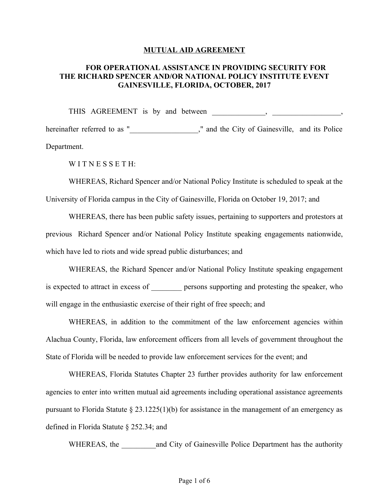#### **MUTUAL AID AGREEMENT**

# **FOR OPERATIONAL ASSISTANCE IN PROVIDING SECURITY FOR THE RICHARD SPENCER AND/OR NATIONAL POLICY INSTITUTE EVENT GAINESVILLE, FLORIDA, OCTOBER, 2017**

THIS AGREEMENT is by and between \_\_\_\_\_\_\_, \_\_\_\_\_\_\_\_\_\_\_\_\_\_, hereinafter referred to as "\_\_\_\_\_\_\_\_\_\_\_\_\_\_\_\_\_," and the City of Gainesville, and its Police Department.

WITNESSETH:

WHEREAS, Richard Spencer and/or National Policy Institute is scheduled to speak at the University of Florida campus in the City of Gainesville, Florida on October 19, 2017; and

WHEREAS, there has been public safety issues, pertaining to supporters and protestors at previous Richard Spencer and/or National Policy Institute speaking engagements nationwide, which have led to riots and wide spread public disturbances; and

WHEREAS, the Richard Spencer and/or National Policy Institute speaking engagement is expected to attract in excess of persons supporting and protesting the speaker, who will engage in the enthusiastic exercise of their right of free speech; and

WHEREAS, in addition to the commitment of the law enforcement agencies within Alachua County, Florida, law enforcement officers from all levels of government throughout the State of Florida will be needed to provide law enforcement services for the event; and

WHEREAS, Florida Statutes Chapter 23 further provides authority for law enforcement agencies to enter into written mutual aid agreements including operational assistance agreements pursuant to Florida Statute  $\S 23.1225(1)(b)$  for assistance in the management of an emergency as defined in Florida Statute § 252.34; and

WHEREAS, the and City of Gainesville Police Department has the authority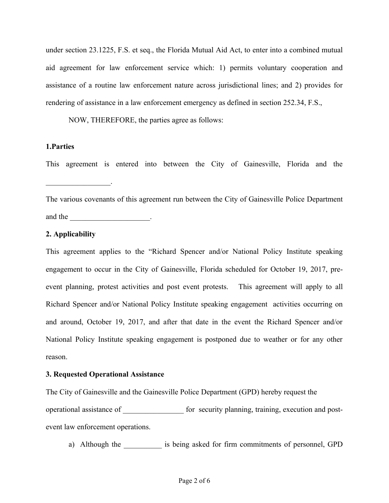under section 23.1225, F.S. et seq., the Florida Mutual Aid Act, to enter into a combined mutual aid agreement for law enforcement service which: 1) permits voluntary cooperation and assistance of a routine law enforcement nature across jurisdictional lines; and 2) provides for rendering of assistance in a law enforcement emergency as defined in section 252.34, F.S.,

NOW, THEREFORE, the parties agree as follows:

# **1.Parties**

This agreement is entered into between the City of Gainesville, Florida and the

The various covenants of this agreement run between the City of Gainesville Police Department and the  $\qquad \qquad \qquad$ 

# **2. Applicability**

 $\mathcal{L}_\text{max}$  , we have the set of  $\mathcal{L}_\text{max}$ 

This agreement applies to the "Richard Spencer and/or National Policy Institute speaking engagement to occur in the City of Gainesville, Florida scheduled for October 19, 2017, preevent planning, protest activities and post event protests. This agreement will apply to all Richard Spencer and/or National Policy Institute speaking engagement activities occurring on and around, October 19, 2017, and after that date in the event the Richard Spencer and/or National Policy Institute speaking engagement is postponed due to weather or for any other reason.

## **3. Requested Operational Assistance**

The City of Gainesville and the Gainesville Police Department (GPD) hereby request the operational assistance of \_\_\_\_\_\_\_\_\_\_\_\_\_\_\_\_ for security planning, training, execution and postevent law enforcement operations.

a) Although the is being asked for firm commitments of personnel, GPD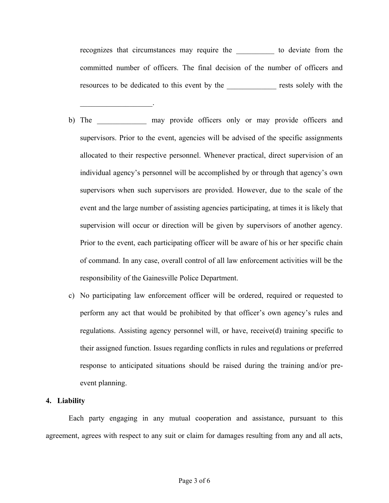recognizes that circumstances may require the to deviate from the committed number of officers. The final decision of the number of officers and resources to be dedicated to this event by the \_\_\_\_\_\_\_\_\_\_\_\_\_ rests solely with the

 $\mathcal{L}_\text{max}$  and  $\mathcal{L}_\text{max}$  and  $\mathcal{L}_\text{max}$ 

- b) The may provide officers only or may provide officers and supervisors. Prior to the event, agencies will be advised of the specific assignments allocated to their respective personnel. Whenever practical, direct supervision of an individual agency's personnel will be accomplished by or through that agency's own supervisors when such supervisors are provided. However, due to the scale of the event and the large number of assisting agencies participating, at times it is likely that supervision will occur or direction will be given by supervisors of another agency. Prior to the event, each participating officer will be aware of his or her specific chain of command. In any case, overall control of all law enforcement activities will be the responsibility of the Gainesville Police Department.
- c) No participating law enforcement officer will be ordered, required or requested to perform any act that would be prohibited by that officer's own agency's rules and regulations. Assisting agency personnel will, or have, receive(d) training specific to their assigned function. Issues regarding conflicts in rules and regulations or preferred response to anticipated situations should be raised during the training and/or preevent planning.

#### **4. Liability**

Each party engaging in any mutual cooperation and assistance, pursuant to this agreement, agrees with respect to any suit or claim for damages resulting from any and all acts,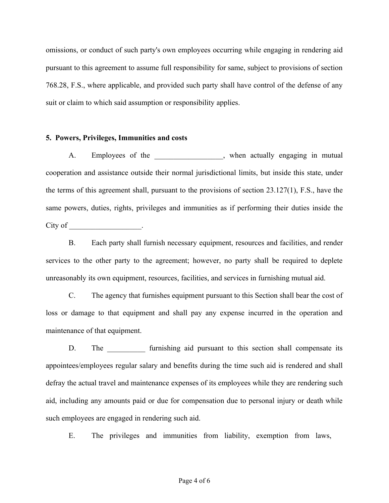omissions, or conduct of such party's own employees occurring while engaging in rendering aid pursuant to this agreement to assume full responsibility for same, subject to provisions of section 768.28, F.S., where applicable, and provided such party shall have control of the defense of any suit or claim to which said assumption or responsibility applies.

### **5. Powers, Privileges, Immunities and costs**

A. Employees of the \_\_\_\_\_\_\_\_\_\_\_\_\_\_, when actually engaging in mutual cooperation and assistance outside their normal jurisdictional limits, but inside this state, under the terms of this agreement shall, pursuant to the provisions of section 23.127(1), F.S., have the same powers, duties, rights, privileges and immunities as if performing their duties inside the City of the contract of the contract of the contract of the contract of the contract of the contract of the contract of the contract of the contract of the contract of the contract of the contract of the contract of the co

B. Each party shall furnish necessary equipment, resources and facilities, and render services to the other party to the agreement; however, no party shall be required to deplete unreasonably its own equipment, resources, facilities, and services in furnishing mutual aid.

C. The agency that furnishes equipment pursuant to this Section shall bear the cost of loss or damage to that equipment and shall pay any expense incurred in the operation and maintenance of that equipment.

D. The furnishing aid pursuant to this section shall compensate its appointees/employees regular salary and benefits during the time such aid is rendered and shall defray the actual travel and maintenance expenses of its employees while they are rendering such aid, including any amounts paid or due for compensation due to personal injury or death while such employees are engaged in rendering such aid.

E. The privileges and immunities from liability, exemption from laws,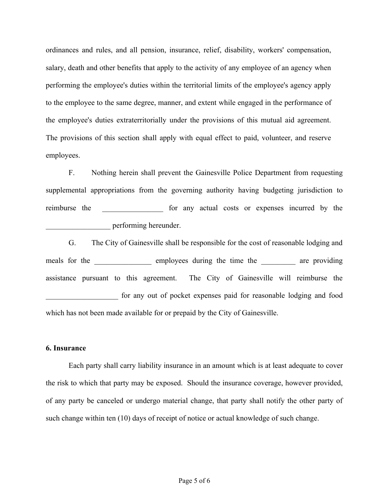ordinances and rules, and all pension, insurance, relief, disability, workers' compensation, salary, death and other benefits that apply to the activity of any employee of an agency when performing the employee's duties within the territorial limits of the employee's agency apply to the employee to the same degree, manner, and extent while engaged in the performance of the employee's duties extraterritorially under the provisions of this mutual aid agreement. The provisions of this section shall apply with equal effect to paid, volunteer, and reserve employees.

F. Nothing herein shall prevent the Gainesville Police Department from requesting supplemental appropriations from the governing authority having budgeting jurisdiction to reimburse the \_\_\_\_\_\_\_\_\_\_\_\_\_ for any actual costs or expenses incurred by the \_\_\_\_\_\_\_\_\_\_\_\_\_\_\_\_\_ performing hereunder.

G. The City of Gainesville shall be responsible for the cost of reasonable lodging and meals for the employees during the time the are providing assistance pursuant to this agreement. The City of Gainesville will reimburse the for any out of pocket expenses paid for reasonable lodging and food which has not been made available for or prepaid by the City of Gainesville.

#### **6. Insurance**

Each party shall carry liability insurance in an amount which is at least adequate to cover the risk to which that party may be exposed. Should the insurance coverage, however provided, of any party be canceled or undergo material change, that party shall notify the other party of such change within ten (10) days of receipt of notice or actual knowledge of such change.